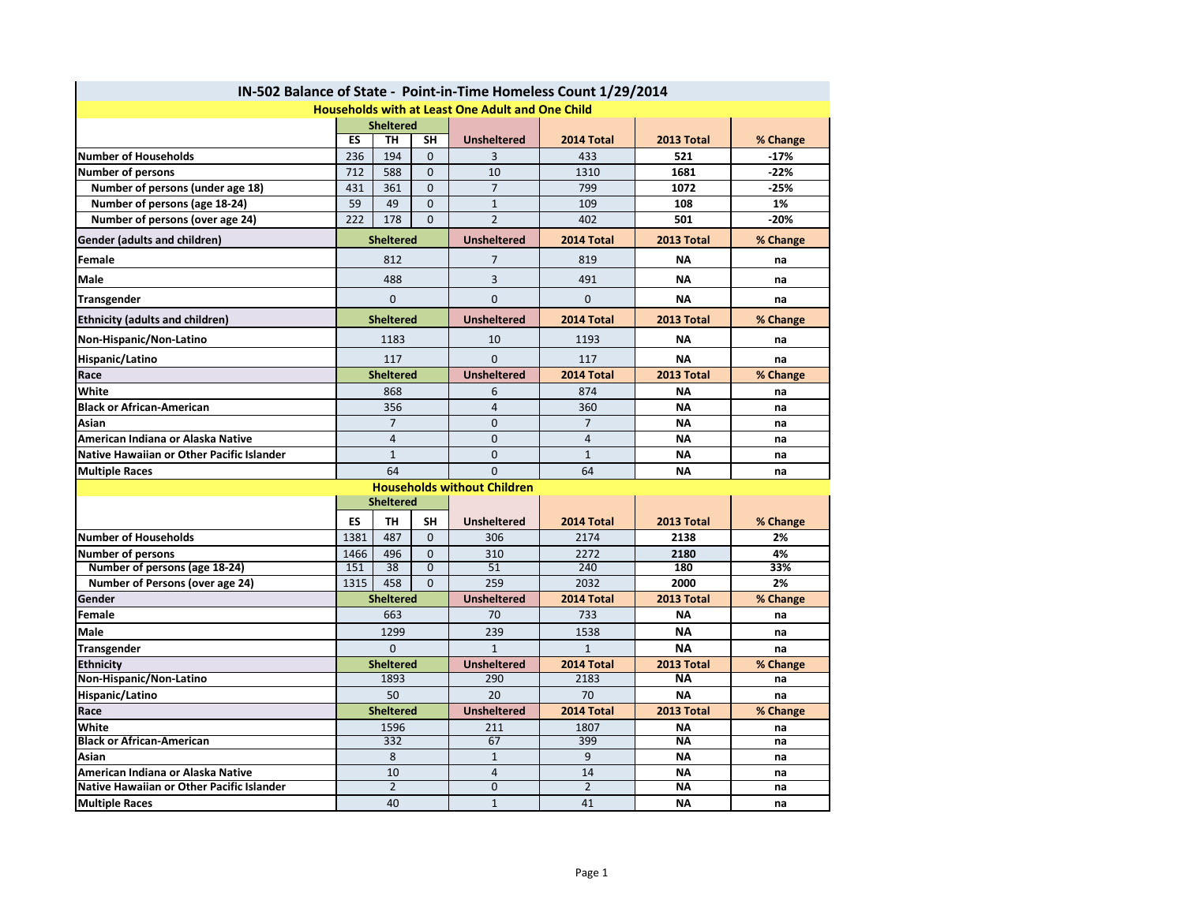|                                           |                  |                  |                |                                                         | IN-502 Balance of State - Point-in-Time Homeless Count 1/29/2014 |            |          |  |  |  |
|-------------------------------------------|------------------|------------------|----------------|---------------------------------------------------------|------------------------------------------------------------------|------------|----------|--|--|--|
|                                           |                  |                  |                | <b>Households with at Least One Adult and One Child</b> |                                                                  |            |          |  |  |  |
|                                           | <b>Sheltered</b> |                  |                |                                                         |                                                                  |            |          |  |  |  |
|                                           | ES               | <b>TH</b>        | <b>SH</b>      | <b>Unsheltered</b>                                      | 2014 Total                                                       | 2013 Total | % Change |  |  |  |
| <b>Number of Households</b>               | 236              | 194              | $\Omega$       | 3                                                       | 433                                                              | 521        | $-17%$   |  |  |  |
| <b>Number of persons</b>                  | 712              | 588              | $\Omega$       | 10                                                      | 1310                                                             | 1681       | $-22%$   |  |  |  |
| Number of persons (under age 18)          | 431              | 361              | $\Omega$       | $\overline{7}$                                          | 799                                                              | 1072       | $-25%$   |  |  |  |
| Number of persons (age 18-24)             | 59               | 49               | $\Omega$       | $\mathbf{1}$                                            | 109                                                              | 108        | 1%       |  |  |  |
| Number of persons (over age 24)           | 222              | 178              | $\Omega$       | $\overline{2}$                                          | 402                                                              | 501        | $-20%$   |  |  |  |
| <b>Gender (adults and children)</b>       | <b>Sheltered</b> |                  |                | <b>Unsheltered</b>                                      | 2014 Total                                                       | 2013 Total | % Change |  |  |  |
| Female                                    | 812              |                  |                | 7                                                       | 819                                                              | <b>NA</b>  | na       |  |  |  |
| <b>Male</b>                               | 488              |                  |                | 3                                                       | 491                                                              | <b>NA</b>  | na       |  |  |  |
| <b>Transgender</b>                        | $\mathbf 0$      |                  |                | $\mathbf 0$                                             | 0                                                                | <b>NA</b>  | na       |  |  |  |
| <b>Ethnicity (adults and children)</b>    |                  | <b>Sheltered</b> |                | <b>Unsheltered</b>                                      | 2014 Total                                                       | 2013 Total | % Change |  |  |  |
| Non-Hispanic/Non-Latino                   |                  | 1183             |                | 10                                                      | 1193                                                             | <b>NA</b>  | na       |  |  |  |
| Hispanic/Latino                           | 117              |                  |                | $\Omega$                                                | 117                                                              | <b>NA</b>  | na       |  |  |  |
| Race                                      |                  | <b>Sheltered</b> |                | <b>Unsheltered</b>                                      | 2014 Total                                                       | 2013 Total | % Change |  |  |  |
| White                                     |                  | 868              |                | 6                                                       | 874                                                              | <b>NA</b>  | na       |  |  |  |
| <b>Black or African-American</b>          |                  | 356              |                | 4                                                       | 360                                                              | <b>NA</b>  | na       |  |  |  |
| <b>Asian</b>                              |                  | $\overline{7}$   |                | 0                                                       | $\overline{7}$                                                   | <b>NA</b>  | na       |  |  |  |
| American Indiana or Alaska Native         |                  | $\overline{4}$   |                | 0                                                       | $\overline{4}$                                                   | <b>NA</b>  | na       |  |  |  |
| Native Hawaiian or Other Pacific Islander |                  | $\mathbf{1}$     |                | $\mathbf{0}$                                            | $\mathbf{1}$                                                     | <b>NA</b>  | na       |  |  |  |
| <b>Multiple Races</b>                     |                  | 64               |                | $\mathbf{0}$                                            | 64                                                               | <b>NA</b>  | na       |  |  |  |
| <b>Households without Children</b>        |                  |                  |                |                                                         |                                                                  |            |          |  |  |  |
| <b>Sheltered</b>                          |                  |                  |                |                                                         |                                                                  |            |          |  |  |  |
|                                           | <b>ES</b>        | <b>TH</b>        | <b>SH</b>      | <b>Unsheltered</b>                                      | 2014 Total                                                       | 2013 Total | % Change |  |  |  |
| <b>Number of Households</b>               | 1381             | 487              | $\Omega$       | 306                                                     | 2174                                                             | 2138       | 2%       |  |  |  |
| <b>Number of persons</b>                  | 1466             | 496              | $\Omega$       | 310                                                     | 2272                                                             | 2180       | 4%       |  |  |  |
| Number of persons (age 18-24)             | 151              | 38               | $\overline{0}$ | $\overline{51}$                                         | 240                                                              | 180        | 33%      |  |  |  |
| <b>Number of Persons (over age 24)</b>    | 1315             | 458              | $\mathbf{0}$   | 259                                                     | 2032                                                             | 2000       | 2%       |  |  |  |
| Gender                                    |                  | <b>Sheltered</b> |                | <b>Unsheltered</b>                                      | 2014 Total                                                       | 2013 Total | % Change |  |  |  |
| <b>Female</b>                             |                  | 663              |                | 70                                                      | 733                                                              | <b>NA</b>  | na       |  |  |  |
| <b>Male</b>                               |                  | 1299             |                | 239                                                     | 1538                                                             | <b>NA</b>  | na       |  |  |  |
| <b>Transgender</b>                        |                  | $\Omega$         |                | $\mathbf{1}$                                            | $\mathbf{1}$                                                     | <b>NA</b>  | na       |  |  |  |
| <b>Ethnicity</b>                          |                  | <b>Sheltered</b> |                | <b>Unsheltered</b>                                      | 2014 Total                                                       | 2013 Total | % Change |  |  |  |
| Non-Hispanic/Non-Latino                   |                  | 1893             |                | 290                                                     | 2183                                                             | <b>NA</b>  | na       |  |  |  |
| Hispanic/Latino                           |                  | 50               |                | 20                                                      | 70                                                               | <b>NA</b>  | na       |  |  |  |
| Race                                      |                  | <b>Sheltered</b> |                | <b>Unsheltered</b>                                      | 2014 Total                                                       | 2013 Total | % Change |  |  |  |
| <b>White</b>                              |                  | 1596             |                | 211                                                     | 1807                                                             | <b>NA</b>  | na       |  |  |  |
| <b>Black or African-American</b>          |                  | 332              |                | 67                                                      | 399                                                              | <b>NA</b>  | na       |  |  |  |
| Asian                                     |                  | 8                |                | $\mathbf{1}$                                            | 9                                                                | <b>NA</b>  | na       |  |  |  |
| American Indiana or Alaska Native         |                  | 10               |                | $\overline{4}$                                          | 14                                                               | <b>NA</b>  | na       |  |  |  |
| Native Hawaiian or Other Pacific Islander |                  | $\overline{2}$   |                | 0                                                       | $2^{\circ}$                                                      | ΝA         | na       |  |  |  |
| <b>Multiple Races</b>                     |                  | 40               |                | $\mathbf{1}$                                            | 41                                                               | <b>NA</b>  | na       |  |  |  |

 $\mathbf{r}$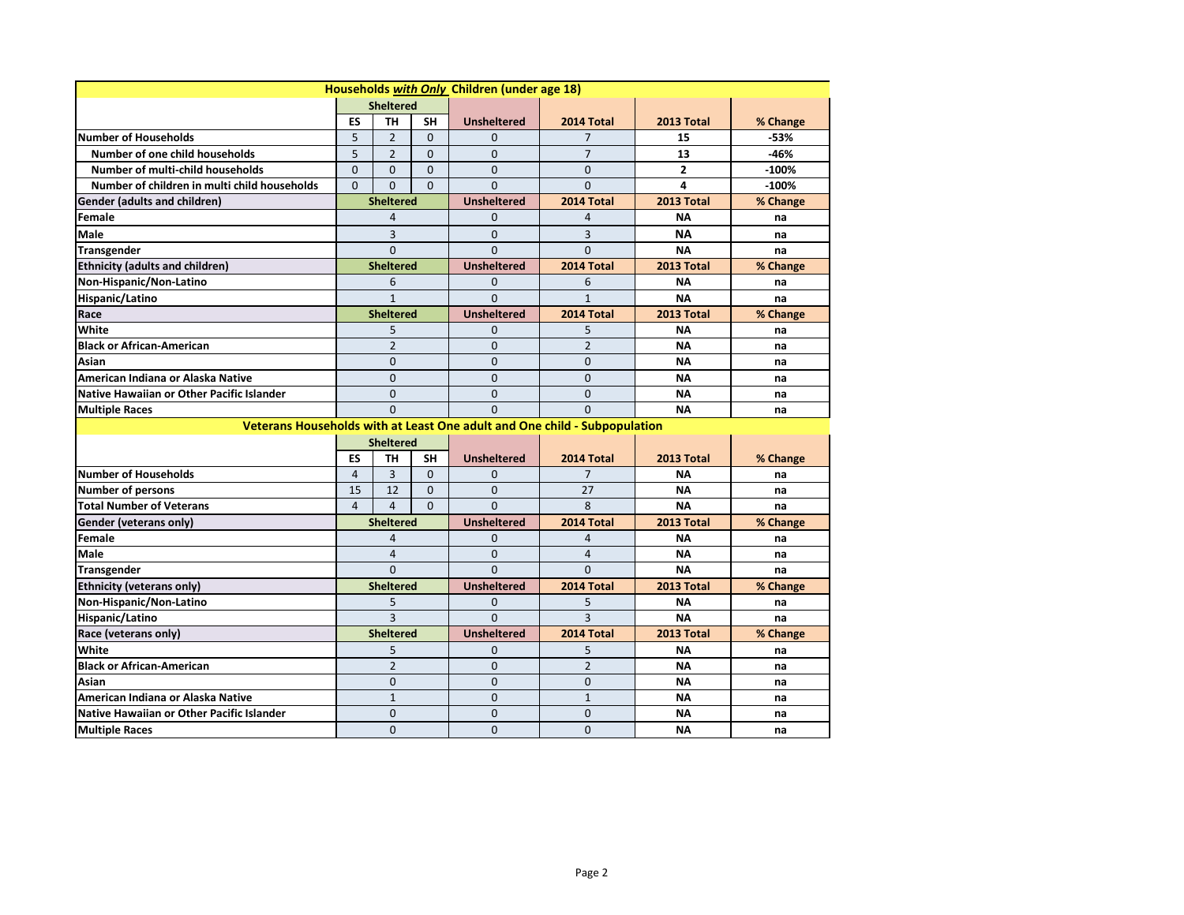| Households with Only Children (under age 18) |                                     |                  |                    |                    |                                                                           |                         |          |  |  |
|----------------------------------------------|-------------------------------------|------------------|--------------------|--------------------|---------------------------------------------------------------------------|-------------------------|----------|--|--|
|                                              | <b>Sheltered</b>                    |                  |                    |                    |                                                                           |                         |          |  |  |
|                                              | <b>ES</b>                           | <b>TH</b>        | <b>SH</b>          | <b>Unsheltered</b> | 2014 Total                                                                | 2013 Total              | % Change |  |  |
| Number of Households                         | 5                                   | $\overline{2}$   | $\Omega$           | $\Omega$           |                                                                           | 15                      | -53%     |  |  |
| Number of one child households               | 5                                   | $\overline{2}$   | $\Omega$           | $\Omega$           | $\overline{7}$                                                            | 13                      | $-46%$   |  |  |
| Number of multi-child households             | $\Omega$                            | 0                | $\Omega$           | $\overline{0}$     | $\Omega$                                                                  | $\overline{\mathbf{c}}$ | $-100%$  |  |  |
| Number of children in multi child households | $\Omega$                            | $\Omega$         | $\Omega$           | $\Omega$           | $\Omega$                                                                  | 4                       | $-100%$  |  |  |
| <b>Gender (adults and children)</b>          | <b>Sheltered</b>                    |                  |                    | <b>Unsheltered</b> | 2014 Total                                                                | 2013 Total              | % Change |  |  |
| Female                                       | 4                                   |                  |                    | 0                  | 4                                                                         | <b>NA</b>               | na       |  |  |
| <b>Male</b>                                  | 3                                   |                  |                    | $\overline{0}$     | 3                                                                         | <b>NA</b>               | na       |  |  |
| <b>Transgender</b>                           | $\overline{0}$                      |                  |                    | $\Omega$           | $\overline{0}$                                                            | <b>NA</b>               | na       |  |  |
| <b>Ethnicity (adults and children)</b>       | <b>Sheltered</b>                    |                  |                    | <b>Unsheltered</b> | 2014 Total                                                                | 2013 Total              | % Change |  |  |
| Non-Hispanic/Non-Latino                      | 6                                   |                  |                    | 0                  | 6                                                                         | <b>NA</b>               | na       |  |  |
| Hispanic/Latino                              | 1                                   |                  |                    | $\Omega$           | $\mathbf{1}$                                                              | <b>NA</b>               | na       |  |  |
| Race                                         |                                     | <b>Sheltered</b> |                    | <b>Unsheltered</b> | 2014 Total                                                                | <b>2013 Total</b>       | % Change |  |  |
| <b>White</b>                                 |                                     | 5                |                    | 0                  | 5                                                                         | <b>NA</b>               | na       |  |  |
| <b>Black or African-American</b>             |                                     | $\overline{2}$   |                    | $\Omega$           | $\overline{2}$                                                            | <b>NA</b>               | na       |  |  |
| <b>Asian</b>                                 |                                     | $\overline{0}$   |                    | $\overline{0}$     | $\Omega$                                                                  | <b>NA</b>               | na       |  |  |
| American Indiana or Alaska Native            |                                     | $\mathbf 0$      |                    | $\overline{0}$     | $\Omega$                                                                  | <b>NA</b>               | na       |  |  |
| Native Hawaiian or Other Pacific Islander    |                                     | $\overline{0}$   |                    | 0                  | $\overline{0}$                                                            | <b>NA</b>               | na       |  |  |
| <b>Multiple Races</b>                        | $\overline{0}$                      |                  |                    | $\overline{0}$     | $\Omega$                                                                  | <b>NA</b>               | na       |  |  |
|                                              |                                     |                  |                    |                    | Veterans Households with at Least One adult and One child - Subpopulation |                         |          |  |  |
|                                              | <b>Sheltered</b>                    |                  |                    |                    |                                                                           |                         |          |  |  |
|                                              | <b>ES</b><br><b>TH</b><br><b>SH</b> |                  | <b>Unsheltered</b> | 2014 Total         | 2013 Total                                                                | % Change                |          |  |  |
| <b>Number of Households</b>                  | 4                                   | 3                | $\Omega$           | 0                  | $\overline{7}$                                                            | ΝA                      | na       |  |  |
| <b>Number of persons</b>                     | 15                                  | 12               | $\Omega$           | $\mathbf 0$        | 27                                                                        | <b>NA</b>               | na       |  |  |
| <b>Total Number of Veterans</b>              | 4                                   | 4                | $\Omega$           | $\Omega$           | 8                                                                         | <b>NA</b>               | na       |  |  |
| <b>Gender (veterans only)</b>                |                                     | <b>Sheltered</b> |                    | <b>Unsheltered</b> | 2014 Total                                                                | 2013 Total              | % Change |  |  |
| Female                                       |                                     | 4                |                    | 0                  | 4                                                                         | <b>NA</b>               | na       |  |  |
| <b>Male</b>                                  |                                     | 4                |                    | 0                  | 4                                                                         | <b>NA</b>               | na       |  |  |
| Transgender                                  |                                     | $\Omega$         |                    | $\Omega$           | $\Omega$                                                                  | <b>NA</b>               | na       |  |  |
| <b>Ethnicity (veterans only)</b>             |                                     | <b>Sheltered</b> |                    | <b>Unsheltered</b> | 2014 Total                                                                | 2013 Total              | % Change |  |  |
| Non-Hispanic/Non-Latino                      |                                     | 5                |                    | $\mathbf{0}$       | 5                                                                         | <b>NA</b>               | na       |  |  |
| Hispanic/Latino                              | 3                                   |                  |                    | $\Omega$           | $\overline{3}$                                                            | <b>NA</b>               | na       |  |  |
| Race (veterans only)                         | <b>Sheltered</b>                    |                  |                    | <b>Unsheltered</b> | 2014 Total                                                                | 2013 Total              | % Change |  |  |
| White                                        | 5                                   |                  |                    | 0                  | 5.                                                                        | ΝA                      | na       |  |  |
| <b>Black or African-American</b>             |                                     | $\overline{2}$   |                    | 0                  | $\overline{2}$                                                            | <b>NA</b>               | na       |  |  |
| Asian                                        |                                     | 0                |                    | 0                  | 0                                                                         | <b>NA</b>               | na       |  |  |
| American Indiana or Alaska Native            |                                     | $\mathbf{1}$     |                    | 0                  | $\mathbf{1}$                                                              | <b>NA</b>               | na       |  |  |
| Native Hawaiian or Other Pacific Islander    |                                     | 0                |                    | 0                  | $\mathbf{0}$                                                              | <b>NA</b>               | na       |  |  |
| <b>Multiple Races</b>                        |                                     | 0                |                    | $\pmb{0}$          | $\mathbf 0$                                                               | ΝA                      | na       |  |  |